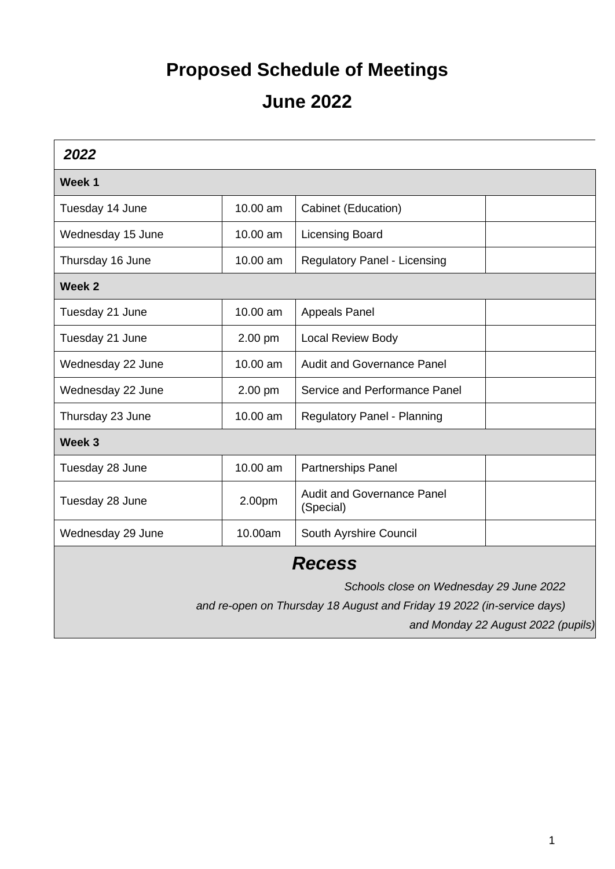## **Proposed Schedule of Meetings June 2022**

| 2022                                                                   |          |                                                |  |  |
|------------------------------------------------------------------------|----------|------------------------------------------------|--|--|
| Week 1                                                                 |          |                                                |  |  |
| Tuesday 14 June                                                        | 10.00 am | Cabinet (Education)                            |  |  |
| Wednesday 15 June                                                      | 10.00 am | <b>Licensing Board</b>                         |  |  |
| Thursday 16 June                                                       | 10.00 am | <b>Regulatory Panel - Licensing</b>            |  |  |
| Week 2                                                                 |          |                                                |  |  |
| Tuesday 21 June                                                        | 10.00 am | <b>Appeals Panel</b>                           |  |  |
| Tuesday 21 June                                                        | 2.00 pm  | <b>Local Review Body</b>                       |  |  |
| Wednesday 22 June                                                      | 10.00 am | <b>Audit and Governance Panel</b>              |  |  |
| Wednesday 22 June                                                      | 2.00 pm  | Service and Performance Panel                  |  |  |
| Thursday 23 June                                                       | 10.00 am | <b>Regulatory Panel - Planning</b>             |  |  |
| Week 3                                                                 |          |                                                |  |  |
| Tuesday 28 June                                                        | 10.00 am | Partnerships Panel                             |  |  |
| Tuesday 28 June                                                        | 2.00pm   | <b>Audit and Governance Panel</b><br>(Special) |  |  |
| Wednesday 29 June                                                      | 10.00am  | South Ayrshire Council                         |  |  |
| <b>Recess</b>                                                          |          |                                                |  |  |
| Schools close on Wednesday 29 June 2022                                |          |                                                |  |  |
| and re-open on Thursday 18 August and Friday 19 2022 (in-service days) |          |                                                |  |  |
| and Monday 22 August 2022 (pupils)                                     |          |                                                |  |  |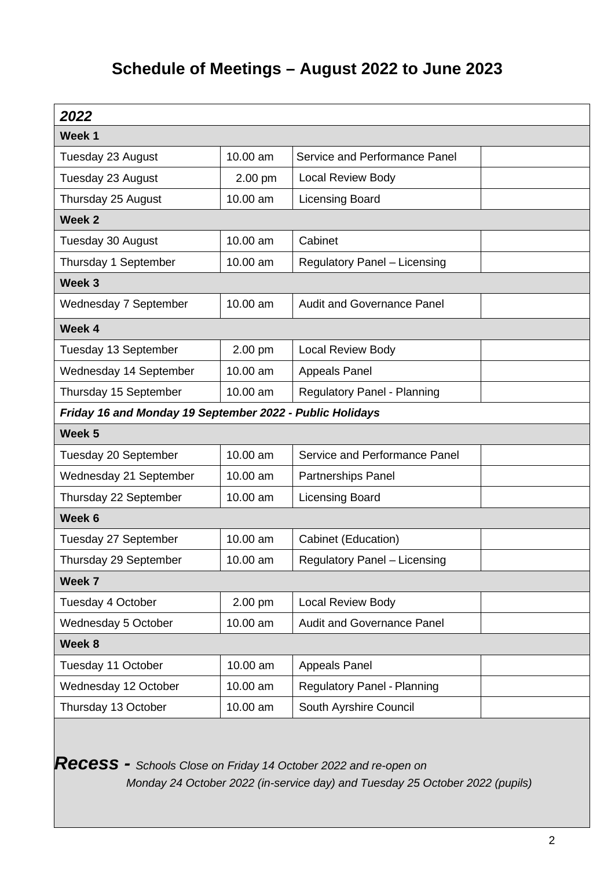## **Schedule of Meetings – August 2022 to June 2023**

| 2022                                                     |          |                                     |  |  |
|----------------------------------------------------------|----------|-------------------------------------|--|--|
| Week 1                                                   |          |                                     |  |  |
| Tuesday 23 August                                        | 10.00 am | Service and Performance Panel       |  |  |
| Tuesday 23 August                                        | 2.00 pm  | <b>Local Review Body</b>            |  |  |
| Thursday 25 August                                       | 10.00 am | <b>Licensing Board</b>              |  |  |
| Week 2                                                   |          |                                     |  |  |
| Tuesday 30 August                                        | 10.00 am | Cabinet                             |  |  |
| Thursday 1 September                                     | 10.00 am | Regulatory Panel - Licensing        |  |  |
| Week <sub>3</sub>                                        |          |                                     |  |  |
| Wednesday 7 September                                    | 10.00 am | <b>Audit and Governance Panel</b>   |  |  |
| Week 4                                                   |          |                                     |  |  |
| Tuesday 13 September                                     | 2.00 pm  | <b>Local Review Body</b>            |  |  |
| Wednesday 14 September                                   | 10.00 am | <b>Appeals Panel</b>                |  |  |
| Thursday 15 September                                    | 10.00 am | <b>Regulatory Panel - Planning</b>  |  |  |
| Friday 16 and Monday 19 September 2022 - Public Holidays |          |                                     |  |  |
| Week 5                                                   |          |                                     |  |  |
| Tuesday 20 September                                     | 10.00 am | Service and Performance Panel       |  |  |
| Wednesday 21 September                                   | 10.00 am | Partnerships Panel                  |  |  |
| Thursday 22 September                                    | 10.00 am | <b>Licensing Board</b>              |  |  |
| Week 6                                                   |          |                                     |  |  |
| Tuesday 27 September                                     | 10.00 am | Cabinet (Education)                 |  |  |
| Thursday 29 September                                    | 10.00 am | <b>Regulatory Panel - Licensing</b> |  |  |
| Week 7                                                   |          |                                     |  |  |
| Tuesday 4 October                                        | 2.00 pm  | Local Review Body                   |  |  |
| Wednesday 5 October                                      | 10.00 am | Audit and Governance Panel          |  |  |
| Week 8                                                   |          |                                     |  |  |
| Tuesday 11 October                                       | 10.00 am | <b>Appeals Panel</b>                |  |  |
| Wednesday 12 October                                     | 10.00 am | <b>Regulatory Panel - Planning</b>  |  |  |
| Thursday 13 October                                      | 10.00 am | South Ayrshire Council              |  |  |

*Recess - Schools Close on Friday 14 October 2022 and re-open on* 

*Monday 24 October 2022 (in-service day) and Tuesday 25 October 2022 (pupils)*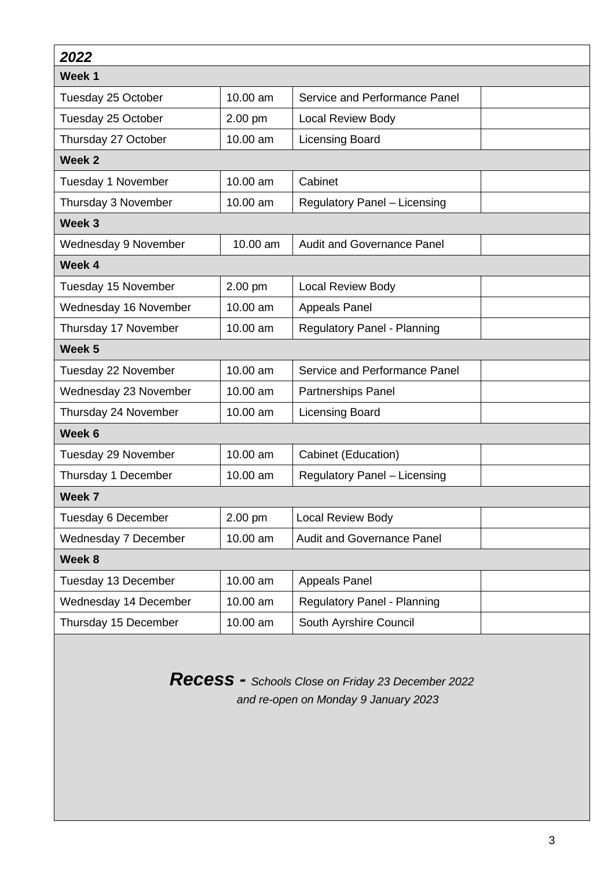| 2022                  |          |                                     |  |  |
|-----------------------|----------|-------------------------------------|--|--|
| Week 1                |          |                                     |  |  |
| Tuesday 25 October    | 10.00 am | Service and Performance Panel       |  |  |
| Tuesday 25 October    | 2.00 pm  | <b>Local Review Body</b>            |  |  |
| Thursday 27 October   | 10.00 am | <b>Licensing Board</b>              |  |  |
| Week 2                |          |                                     |  |  |
| Tuesday 1 November    | 10.00 am | Cabinet                             |  |  |
| Thursday 3 November   | 10.00 am | <b>Regulatory Panel - Licensing</b> |  |  |
| Week 3                |          |                                     |  |  |
| Wednesday 9 November  | 10.00 am | <b>Audit and Governance Panel</b>   |  |  |
| Week 4                |          |                                     |  |  |
| Tuesday 15 November   | 2.00 pm  | <b>Local Review Body</b>            |  |  |
| Wednesday 16 November | 10.00 am | <b>Appeals Panel</b>                |  |  |
| Thursday 17 November  | 10.00 am | <b>Regulatory Panel - Planning</b>  |  |  |
| Week 5                |          |                                     |  |  |
| Tuesday 22 November   | 10.00 am | Service and Performance Panel       |  |  |
| Wednesday 23 November | 10.00 am | <b>Partnerships Panel</b>           |  |  |
| Thursday 24 November  | 10.00 am | <b>Licensing Board</b>              |  |  |
| Week 6                |          |                                     |  |  |
| Tuesday 29 November   | 10.00 am | Cabinet (Education)                 |  |  |
| Thursday 1 December   | 10.00 am | Regulatory Panel - Licensing        |  |  |
| Week 7                |          |                                     |  |  |
| Tuesday 6 December    | 2.00 pm  | Local Review Body                   |  |  |
| Wednesday 7 December  | 10.00 am | <b>Audit and Governance Panel</b>   |  |  |
| Week 8                |          |                                     |  |  |
| Tuesday 13 December   | 10.00 am | <b>Appeals Panel</b>                |  |  |
| Wednesday 14 December | 10.00 am | <b>Regulatory Panel - Planning</b>  |  |  |
| Thursday 15 December  | 10.00 am | South Ayrshire Council              |  |  |

*Recess - Schools Close on Friday 23 December 2022 and re-open on Monday 9 January 2023*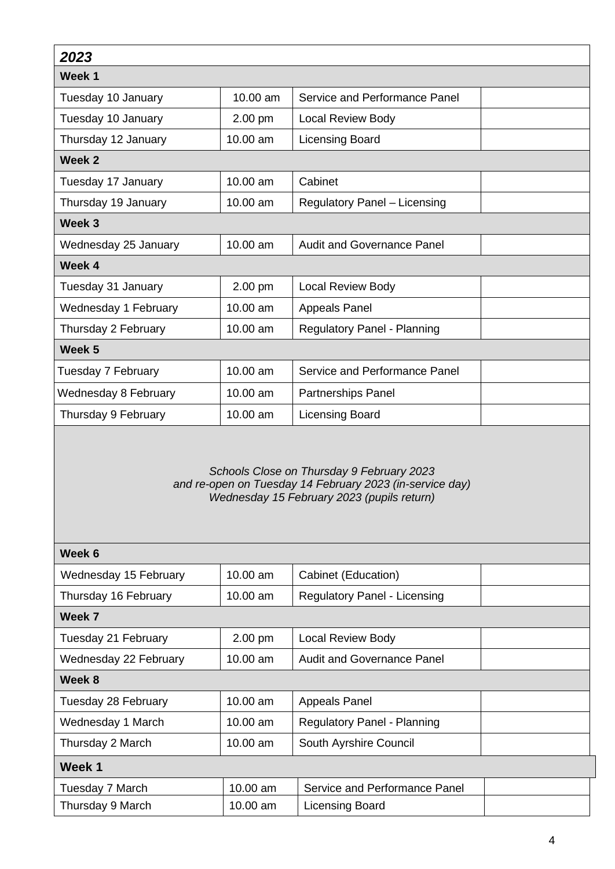| 2023                        |          |                                                                                                                                                     |  |
|-----------------------------|----------|-----------------------------------------------------------------------------------------------------------------------------------------------------|--|
| Week 1                      |          |                                                                                                                                                     |  |
| Tuesday 10 January          | 10.00 am | Service and Performance Panel                                                                                                                       |  |
| Tuesday 10 January          | 2.00 pm  | <b>Local Review Body</b>                                                                                                                            |  |
| Thursday 12 January         | 10.00 am | <b>Licensing Board</b>                                                                                                                              |  |
| Week 2                      |          |                                                                                                                                                     |  |
| Tuesday 17 January          | 10.00 am | Cabinet                                                                                                                                             |  |
| Thursday 19 January         | 10.00 am | <b>Regulatory Panel - Licensing</b>                                                                                                                 |  |
| Week 3                      |          |                                                                                                                                                     |  |
| Wednesday 25 January        | 10.00 am | <b>Audit and Governance Panel</b>                                                                                                                   |  |
| Week 4                      |          |                                                                                                                                                     |  |
| Tuesday 31 January          | 2.00 pm  | <b>Local Review Body</b>                                                                                                                            |  |
| Wednesday 1 February        | 10.00 am | <b>Appeals Panel</b>                                                                                                                                |  |
| Thursday 2 February         | 10.00 am | <b>Regulatory Panel - Planning</b>                                                                                                                  |  |
| Week 5                      |          |                                                                                                                                                     |  |
| Tuesday 7 February          | 10.00 am | Service and Performance Panel                                                                                                                       |  |
| <b>Wednesday 8 February</b> | 10.00 am | Partnerships Panel                                                                                                                                  |  |
| Thursday 9 February         | 10.00 am | <b>Licensing Board</b>                                                                                                                              |  |
|                             |          | Schools Close on Thursday 9 February 2023<br>and re-open on Tuesday 14 February 2023 (in-service day)<br>Wednesday 15 February 2023 (pupils return) |  |
| Week 6                      |          |                                                                                                                                                     |  |
| Wednesday 15 February       | 10.00 am | Cabinet (Education)                                                                                                                                 |  |
| Thursday 16 February        | 10.00 am | <b>Regulatory Panel - Licensing</b>                                                                                                                 |  |
| Week 7                      |          |                                                                                                                                                     |  |
| Tuesday 21 February         | 2.00 pm  | <b>Local Review Body</b>                                                                                                                            |  |
| Wednesday 22 February       | 10.00 am | <b>Audit and Governance Panel</b>                                                                                                                   |  |
| Week 8                      |          |                                                                                                                                                     |  |
| Tuesday 28 February         | 10.00 am | <b>Appeals Panel</b>                                                                                                                                |  |
| Wednesday 1 March           | 10.00 am | <b>Regulatory Panel - Planning</b>                                                                                                                  |  |

| Week 1           |          |                               |  |
|------------------|----------|-------------------------------|--|
| Tuesday 7 March  | 10.00 am | Service and Performance Panel |  |
| Thursday 9 March | 10.00 am | Licensing Board               |  |

Thursday 2 March 10.00 am South Ayrshire Council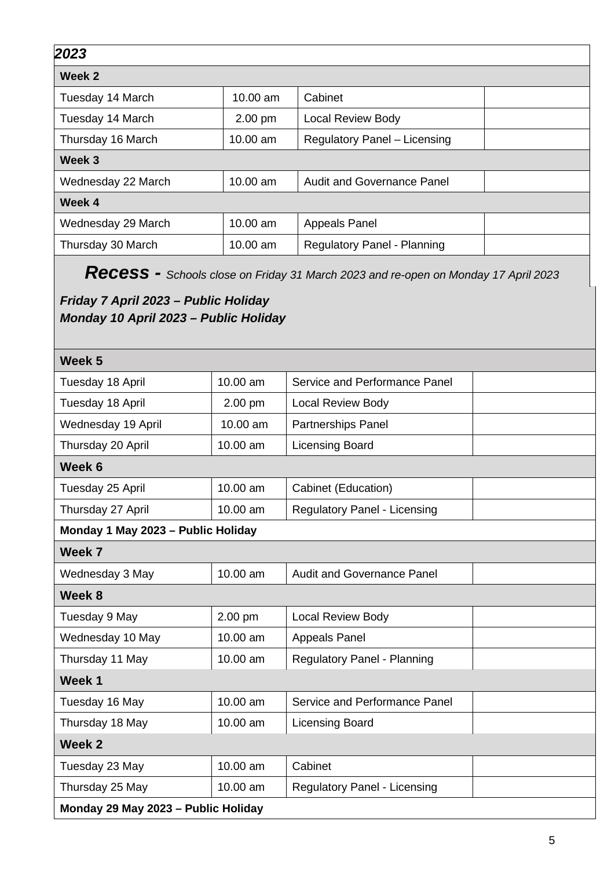| 2023                                                                          |           |                                                                                    |  |  |  |
|-------------------------------------------------------------------------------|-----------|------------------------------------------------------------------------------------|--|--|--|
| Week 2                                                                        |           |                                                                                    |  |  |  |
| Tuesday 14 March                                                              | 10.00 am  | Cabinet                                                                            |  |  |  |
| Tuesday 14 March                                                              | 2.00 pm   | <b>Local Review Body</b>                                                           |  |  |  |
| Thursday 16 March                                                             | 10.00 am  | <b>Regulatory Panel - Licensing</b>                                                |  |  |  |
| Week 3                                                                        |           |                                                                                    |  |  |  |
| Wednesday 22 March                                                            | 10.00 am  | <b>Audit and Governance Panel</b>                                                  |  |  |  |
| Week 4                                                                        |           |                                                                                    |  |  |  |
| Wednesday 29 March                                                            | 10.00 am  | <b>Appeals Panel</b>                                                               |  |  |  |
| Thursday 30 March                                                             | 10.00 am  | <b>Regulatory Panel - Planning</b>                                                 |  |  |  |
|                                                                               |           | Recess - Schools close on Friday 31 March 2023 and re-open on Monday 17 April 2023 |  |  |  |
| Friday 7 April 2023 – Public Holiday<br>Monday 10 April 2023 – Public Holiday |           |                                                                                    |  |  |  |
|                                                                               |           |                                                                                    |  |  |  |
| Week <sub>5</sub>                                                             |           |                                                                                    |  |  |  |
| Tuesday 18 April                                                              | 10.00 am  | Service and Performance Panel                                                      |  |  |  |
| Tuesday 18 April                                                              | $2.00$ pm | <b>Local Review Body</b>                                                           |  |  |  |
| Wednesday 19 April                                                            | 10.00 am  | <b>Partnerships Panel</b>                                                          |  |  |  |
| Thursday 20 April                                                             | 10.00 am  | <b>Licensing Board</b>                                                             |  |  |  |
| Week 6                                                                        |           |                                                                                    |  |  |  |
| Tuesday 25 April                                                              | 10.00 am  | Cabinet (Education)                                                                |  |  |  |
| Thursday 27 April                                                             | 10.00 am  | <b>Regulatory Panel - Licensing</b>                                                |  |  |  |
| Monday 1 May 2023 - Public Holiday                                            |           |                                                                                    |  |  |  |
| Week 7                                                                        |           |                                                                                    |  |  |  |
| Wednesday 3 May                                                               | 10.00 am  | <b>Audit and Governance Panel</b>                                                  |  |  |  |
| Week 8                                                                        |           |                                                                                    |  |  |  |
| Tuesday 9 May                                                                 | 2.00 pm   | Local Review Body                                                                  |  |  |  |
| Wednesday 10 May                                                              | 10.00 am  | <b>Appeals Panel</b>                                                               |  |  |  |
| Thursday 11 May                                                               | 10.00 am  | <b>Regulatory Panel - Planning</b>                                                 |  |  |  |
| Week 1                                                                        |           |                                                                                    |  |  |  |
| Tuesday 16 May                                                                | 10.00 am  | Service and Performance Panel                                                      |  |  |  |
| Thursday 18 May                                                               | 10.00 am  | <b>Licensing Board</b>                                                             |  |  |  |
| Week 2                                                                        |           |                                                                                    |  |  |  |
| Tuesday 23 May                                                                | 10.00 am  | Cabinet                                                                            |  |  |  |
| Thursday 25 May                                                               | 10.00 am  | Regulatory Panel - Licensing                                                       |  |  |  |

**Monday 29 May 2023 – Public Holiday**